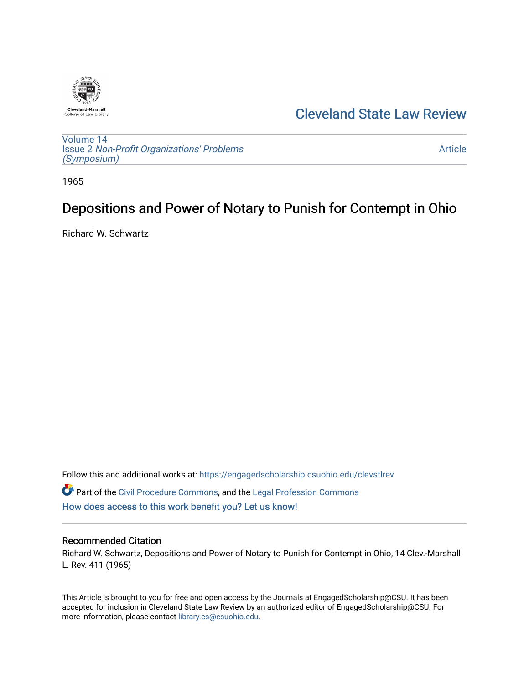

# [Cleveland State Law Review](https://engagedscholarship.csuohio.edu/clevstlrev)

[Volume 14](https://engagedscholarship.csuohio.edu/clevstlrev/vol14) Issue 2 [Non-Profit Organizations' Problems](https://engagedscholarship.csuohio.edu/clevstlrev/vol14/iss2)  [\(Symposium\)](https://engagedscholarship.csuohio.edu/clevstlrev/vol14/iss2)

[Article](https://engagedscholarship.csuohio.edu/clevstlrev/vol14/iss2/17) 

1965

# Depositions and Power of Notary to Punish for Contempt in Ohio

Richard W. Schwartz

Follow this and additional works at: [https://engagedscholarship.csuohio.edu/clevstlrev](https://engagedscholarship.csuohio.edu/clevstlrev?utm_source=engagedscholarship.csuohio.edu%2Fclevstlrev%2Fvol14%2Fiss2%2F17&utm_medium=PDF&utm_campaign=PDFCoverPages) Part of the [Civil Procedure Commons,](http://network.bepress.com/hgg/discipline/584?utm_source=engagedscholarship.csuohio.edu%2Fclevstlrev%2Fvol14%2Fiss2%2F17&utm_medium=PDF&utm_campaign=PDFCoverPages) and the [Legal Profession Commons](http://network.bepress.com/hgg/discipline/1075?utm_source=engagedscholarship.csuohio.edu%2Fclevstlrev%2Fvol14%2Fiss2%2F17&utm_medium=PDF&utm_campaign=PDFCoverPages)  [How does access to this work benefit you? Let us know!](http://library.csuohio.edu/engaged/)

# Recommended Citation

Richard W. Schwartz, Depositions and Power of Notary to Punish for Contempt in Ohio, 14 Clev.-Marshall L. Rev. 411 (1965)

This Article is brought to you for free and open access by the Journals at EngagedScholarship@CSU. It has been accepted for inclusion in Cleveland State Law Review by an authorized editor of EngagedScholarship@CSU. For more information, please contact [library.es@csuohio.edu](mailto:library.es@csuohio.edu).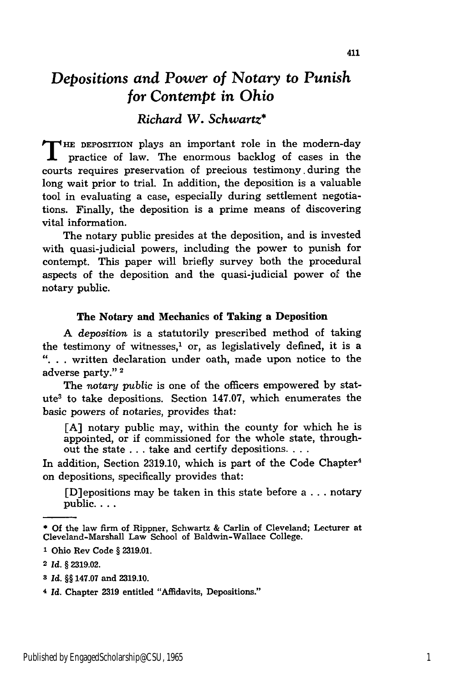# *Depositions and Power of Notary to Punish for Contempt in* Ohio

# *Richard W. Schwartz\**

**T HE** DEPOSITION plays an important role in the modern-day practice of law. The enormous backlog of cases in the courts requires preservation of precious testimony. during the long wait prior to trial. In addition, the deposition is a valuable tool in evaluating a case, especially during settlement negotiations. Finally, the deposition is a prime means of discovering vital information.

The notary public presides at the deposition, and is invested with quasi-judicial powers, including the power to punish for contempt. This paper will briefly survey both the procedural aspects of the deposition and the quasi-judicial power of the notary public.

#### The Notary and Mechanics of Taking a Deposition

A *deposition* is a statutorily prescribed method of taking the testimony of witnesses, $<sup>1</sup>$  or, as legislatively defined, it is a</sup> **"...** written declaration under oath, made upon notice to the adverse party."<sup>2</sup>

The notary *public* is one of the officers empowered by statute3 to take depositions. Section 147.07, which enumerates the basic powers of notaries, provides that:

[A] notary public may, within the county for which he is appointed, or if commissioned for the whole state, throughout the state ... take and certify depositions. **...**

In addition, Section 2319.10, which is part of the Code Chapter<sup>4</sup> on depositions, specifically provides that:

[D]epositions may be taken in this state before a ... notary public....

**3** *Id. §§* 147.07 and 2319.10.

**<sup>\*</sup>Of** the law firm of Rippner, Schwartz & Carlin of Cleveland; Lecturer at Cleveland-Marshall Law School of Baldwin-Wallace College.

**<sup>1</sup>** Ohio Rev Code § **2319.01.**

**<sup>2</sup>** *Id. §* 2319.02.

**<sup>4</sup>** *Id.* Chapter 2319 entitled "Affidavits, Depositions."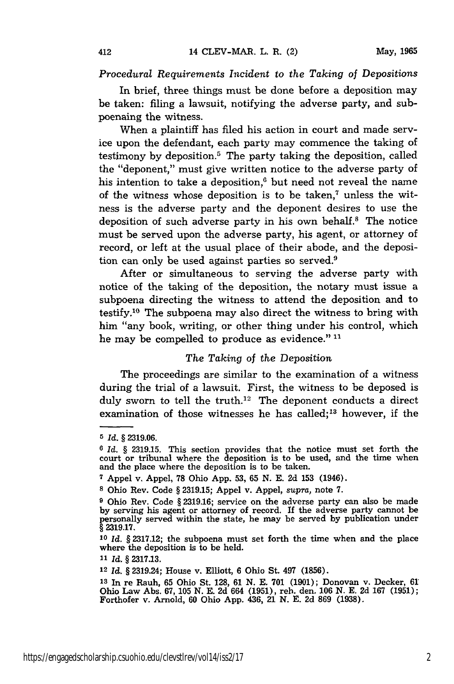#### *Procedural Requirements Incident to the Taking of Depositions*

In brief, three things must be done before a deposition may be taken: filing a lawsuit, notifying the adverse party, and subpoenaing the witness.

When a plaintiff has filed his action in court and made service upon the defendant, each party may commence the taking of testimony by deposition.5 The party taking the deposition, called the "deponent," must give written notice to the adverse party of his intention to take a deposition,<sup>6</sup> but need not reveal the name of the witness whose deposition is to be taken,<sup>7</sup> unless the witness is the adverse party and the deponent desires to use the deposition of such adverse party in his own behalf.8 The notice must be served upon the adverse party, his agent, or attorney of record, or left at the usual place of their abode, and the deposition can only be used against parties so served.<sup>9</sup>

After or simultaneous to serving the adverse party with notice of the taking of the deposition, the notary must issue a subpoena directing the witness to attend the deposition and to testify. 10 The subpoena may also direct the witness to bring with him "any book, writing, or other thing under his control, which he may be compelled to produce as evidence."<sup>11</sup>

#### *The Taking* of *the Deposition*

The proceedings are similar to the examination of a witness during the trial of a lawsuit. First, the witness to be deposed is duly sworn to tell the truth.<sup>12</sup> The deponent conducts a direct examination of those witnesses he has called;<sup>13</sup> however, if the

**11** *Id. §* **2317.13.**

*<sup>5</sup> Id. §* **2319.06.**

*<sup>6</sup> Id. §* **2319.15.** This section provides that the notice must set forth the court or tribunal where the deposition is to be used, and the time when and the place where the deposition is to be taken.

**<sup>7</sup>**Appel v. Appel, **78** Ohio **App. 53, 65 N. E. 2d 153** (1946).

**s** Ohio Rev. Code *§* **2319.15;** Appel v. Appel, *supra,* note **7.**

**<sup>9</sup>** Ohio Rev. Code *§* **2319.16;** service on the adverse party can also be made **by** serving his agent or attorney of record. **If** the adverse party cannot be personally served within the state, he may be served **by** publication under *§* **2319.17.**

**<sup>10</sup>***Id. §* **2317.12;** the subpoena must set forth the time when and the place where the deposition is to be held.

<sup>12</sup>*Id. §* 2319.24; House v. Elliott, 6 Ohio St. 497 (1856).

**<sup>13</sup>**In re Rauh, 65 Ohio St. 128, 61 N. E. **701** (1901); Donovan v. Decker, 61 Ohio Law Abs. 67, 105 N. E. 2d 664 (1951), reh. den. 106 **N.** E. 2d 167 (1951); Forthofer v. Arnold, **60** Ohio **App.** 436, 21 **N.** E. **2d** 869 (1938).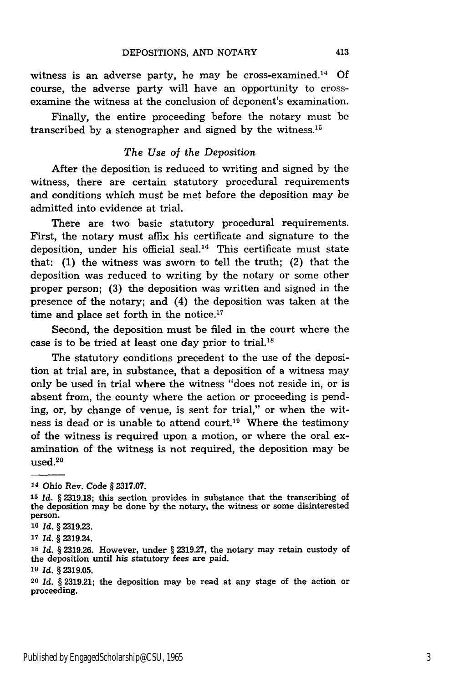witness is an adverse party, he may be cross-examined.14 Of course, the adverse party will have an opportunity to crossexamine the witness at the conclusion of deponent's examination.

Finally, the entire proceeding before the notary must be transcribed by a stenographer and signed by the witness.<sup>15</sup>

# *The Use of the Deposition*

After the deposition is reduced to writing and signed by the witness, there are certain statutory procedural requirements and conditions which must be met before the deposition may be admitted into evidence at trial.

There are two basic statutory procedural requirements. First, the notary must affix his certificate and signature to the deposition, under his official seal.<sup>16</sup> This certificate must state that: **(1)** the witness was sworn to tell the truth; (2) that the deposition was reduced to writing by the notary or some other proper person; (3) the deposition was written and signed in the presence of the notary; and (4) the deposition was taken at the time and place set forth in the notice.<sup>17</sup>

Second, the deposition must be filed in the court where the case is to be tried at least one day prior to trial."

The statutory conditions precedent to the use of the deposition at trial are, in substance, that a deposition of a witness may only be used in trial where the witness "does not reside in, or is absent from, the county where the action or proceeding is pending, or, by change of venue, is sent for trial," or when the witness is dead or is unable to attend court.<sup>19</sup> Where the testimony of the witness is required upon a motion, or where the oral examination of the witness is not required, the deposition may be used. 20

**<sup>14</sup>** Ohio Rev. Code § 2317.07.

*<sup>15</sup>Id.* § 2319.18; this section provides in substance that the transcribing of the deposition may be done by the notary, the witness or some disinterested person.

**<sup>16</sup>***Id.* § 2319.23.

**<sup>17</sup>***Id.* § 2319.24.

**<sup>18</sup>***Id.* § 2319.26. However, under § 2319.27, the notary may retain custody of the deposition until his statutory fees are paid.

**<sup>19</sup>***Id.* § 2319.05.

<sup>20</sup>*Id.* § 2319.21; the deposition may be read at any stage of the action or proceeding.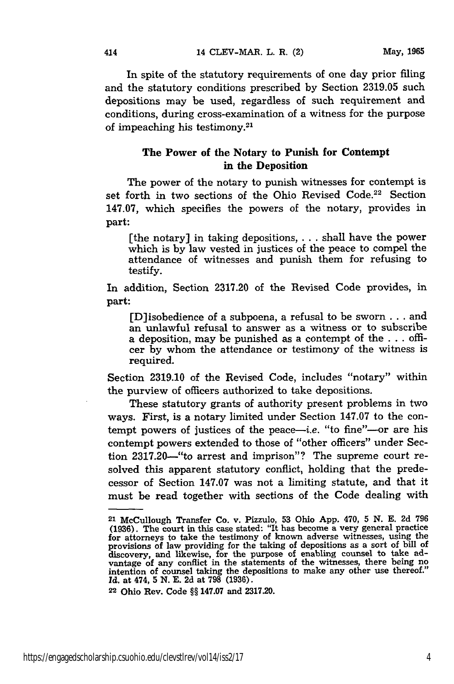In spite of the statutory requirements of one day prior filing and the statutory conditions prescribed by Section 2319.05 such depositions may be used, regardless of such requirement and conditions, during cross-examination of a witness for the purpose of impeaching his testimony. <sup>21</sup>

# The Power of the Notary to Punish for Contempt in the Deposition

The power of the notary to punish witnesses for contempt is set forth in two sections of the Ohio Revised Code.<sup>22</sup> Section 147.07, which specifies the powers of the notary, provides in part:

[the notary] in taking depositions, **. . .**shall have the power which is by law vested in justices of the peace to compel the attendance of witnesses and punish them for refusing to testify.

In addition, Section **2317.20** of the Revised Code provides, in part:

[D]isobedience of a subpoena, a refusal to be sworn **.. .**and an unlawful refusal to answer as a witness or to subscribe a deposition, may be punished as a contempt of the **. . .** officer **by** whom the attendance or testimony of the witness is required.

Section **2319.10** of the Revised Code, includes "notary" within the purview of officers authorized to take depositions.

These statutory grants of authority present problems in two ways. First, is a notary limited under Section 147.07 to the contempt powers of justices of the peace—*i.e.* "to fine"—or are his contempt powers extended to those of "other officers" under Section 2317.20-"to arrest and imprison"? The supreme court resolved this apparent statutory conflict, holding that the predecessor of Section 147.07 was not a limiting statute, and that it must be read together with sections of the Code dealing with

**<sup>21</sup>**McCullough Transfer Co. v. Pizzulo, **53** Ohio **App.** 470, **5 N. E. 2d 796** (1936). The court in this case stated: "It has become a very general practice<br>for attorneys to take the testimony of known adverse witnesses, using the<br>provisions of law providing for the taking of depositions as a sort of vantage of any conflict in the statements of the witnesses, there being no intention of counsel taking the depositions to make any other use thereof." Intention of counsel taking the depositions to make any other use thereof."<br>*Id.* at 474, 5 N. E. 2d at 798 (1936).

**<sup>22</sup>**Ohio Rev. Code §§ 147.07 and 2317.20.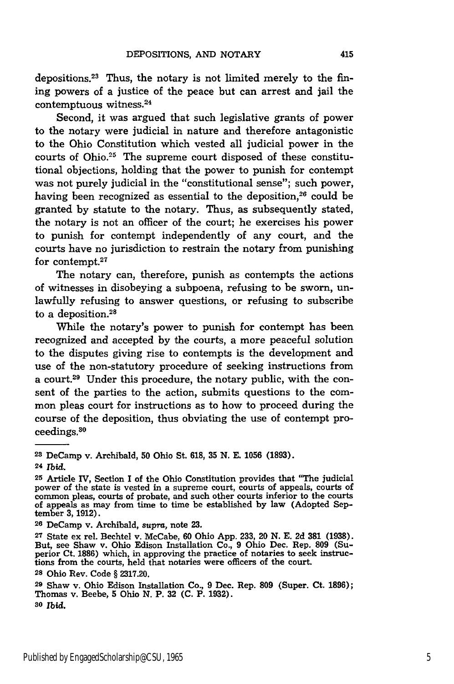depositions. 23 Thus, the notary is not limited merely to the fining powers of a justice of the peace but can arrest and jail the contemptuous witness.<sup>24</sup>

Second, it was argued that such legislative grants of power to the notary were judicial in nature and therefore antagonistic to the Ohio Constitution which vested all judicial power in the courts of Ohio.25 The supreme court disposed of these constitutional objections, holding that the power to punish for contempt was not purely judicial in the "constitutional sense"; such power, having been recognized as essential to the deposition, $26$  could be granted **by** statute to the notary. Thus, as subsequently stated, the notary is not an officer of the court; he exercises his power to punish for contempt independently of any court, and the courts have no jurisdiction to restrain the notary from punishing for contempt. $27$ 

The notary can, therefore, punish as contempts the actions of witnesses in disobeying a subpoena, refusing to be sworn, unlawfully refusing to answer questions, or refusing to subscribe to a deposition.<sup>28</sup>

While the notary's power to punish for contempt has been recognized and accepted **by** the courts, a more peaceful solution to the disputes giving rise to contempts is the development and use of the non-statutory procedure of seeking instructions from a court.<sup>29</sup> Under this procedure, the notary public, with the consent of the parties to the action, submits questions to the common pleas court for instructions as to how to proceed during the course of the deposition, thus obviating the use of contempt proceedings.<sup>30</sup>

**<sup>23</sup>** DeCamp v. Archibald, **50** Ohio St. **618, 35 N. E. 1056 (1893).** <sup>24</sup>*Ibid.*

**<sup>25</sup>**Article IV, Section I of the Ohio Constitution provides that "The judicial power of the state is vested in a supreme court, courts of appeals, courts of common pleas, courts of probate, and such other courts inferior to the courts of appeals as may from time to time be established **by** law (Adopted September **3, 1912).**

**<sup>26</sup>**DeCamp v. Archibald, *supra,* note **23.**

**<sup>27</sup>**State ex rel. Bechtel v. McCabe, 60 Ohio App. 233, 20 N. E. 2d **381** (1938). But, see Shaw v. Ohio Edison Installation Co., 9 Ohio Dec. Rep. **809** (Superior Ct. **1886)** which, in approving the practice of notaries to seek instructions from the courts, held that notaries were officers of the court.

**<sup>28</sup>** Ohio Rev. Code § **2317.20.**

**<sup>29</sup>** Shaw v. Ohio Edison Installation Co., **9** Dec. Rep. **809** (Super. Ct. **1896);** Thomas v. Beebe, **5** Ohio **N.** P. **32 (C.** P. **1932). <sup>30</sup>***Ibid.*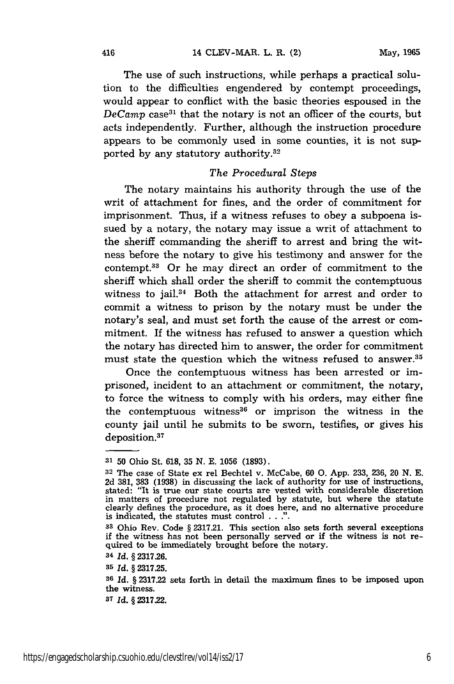The use of such instructions, while perhaps a practical solution to the difficulties engendered by contempt proceedings, would appear to conflict with the basic theories espoused in the DeCamp case<sup>31</sup> that the notary is not an officer of the courts, but acts independently. Further, although the instruction procedure appears to be commonly used in some counties, it is not supported by any statutory authority.<sup>32</sup>

# *The Procedural Steps*

The notary maintains his authority through the use of the writ of attachment for fines, and the order of commitment for imprisonment. Thus, if a witness refuses to obey a subpoena issued by a notary, the notary may issue a writ of attachment to the sheriff commanding the sheriff to arrest and bring the witness before the notary to give his testimony and answer for the contempt.3 3 Or he may direct an order of commitment to the sheriff which shall order the sheriff to commit the contemptuous witness to jail.<sup>34</sup> Both the attachment for arrest and order to commit a witness to prison by the notary must be under the notary's seal, and must set forth the cause of the arrest or commitment. If the witness has refused to answer a question which the notary has directed him to answer, the order for commitment must state the question which the witness refused to answer.35

Once the contemptuous witness has been arrested or imprisoned, incident to an attachment or commitment, the notary, to force the witness to comply with his orders, may either fine the contemptuous witness<sup>36</sup> or imprison the witness in the county jail until he submits to be sworn, testifies, or gives his deposition.<sup>37</sup>

**<sup>31</sup>**50 Ohio St. 618, 35 N. E. 1056 (1893).

**<sup>32</sup>**The case of State ex rel Bechtel v. McCabe, 60 **0.** App. 233, 236, 20 N. E. 2d 381, **383** (1938) in discussing the lack of authority for use of instructions, stated: "It is true our state courts are vested with considerable discretion in matters of procedure not regulated by statute, but where the statute clearly defines the procedure, as it does here, and no alternative procedure is indicated, the statutes must control . **. .".**

**<sup>33</sup>**Ohio Rev. Code § 2317.21. This section also sets forth several exceptions **if** the witness has not been personally served or if the witness is not re- quired to be immediately brought before the notary.

**<sup>34</sup>***Id.* § 2317.26.

**<sup>35</sup>***Id.* § 2317.25.

**<sup>36</sup>***Id.* § 2317.22 sets forth in detail the maximum fines to be imposed upon the witness.

*<sup>37</sup> Id.* **§ 2317.22.**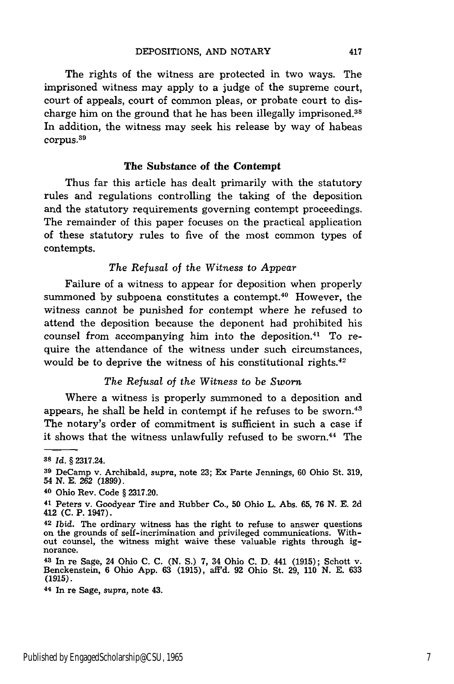The rights of the witness are protected in two ways. The imprisoned witness may apply to a judge of the supreme court, court of appeals, court of common pleas, or probate court to discharge him on the ground that he has been illegally imprisoned.<sup>38</sup> In addition, the witness may seek his release by way of habeas corpus.39

## **The Substance of the Contempt**

Thus far this article has dealt primarily with the statutory rules and regulations controlling the taking of the deposition and the statutory requirements governing contempt proceedings. The remainder of this paper focuses on the practical application of these statutory rules to five of the most common types of contempts.

## *The Refusal* of the *Witness* to *Appear*

Failure of a witness to appear for deposition when properly summoned by subpoena constitutes a contempt.<sup>40</sup> However, the witness cannot be punished for contempt where he refused to attend the deposition because the deponent had prohibited his counsel from accompanying him into the deposition.<sup>41</sup> To require the attendance of the witness under such circumstances, would be to deprive the witness of his constitutional rights. $42$ 

### *The Refusal of the Witness to be Sworn*

Where a witness is properly summoned to a deposition and appears, he shall be held in contempt if he refuses to be sworn.<sup>43</sup> The notary's order of commitment is sufficient in such a case if it shows that the witness unlawfully refused to be sworn.<sup>44</sup> The

**<sup>38</sup>***Id.* § 2317.24.

**<sup>39</sup>**DeCamp v. Archibald, *supra,* note 23; Ex Parte Jennings, 60 Ohio St. 319, <sup>54</sup>*N.* E. 262 (1899). 40 Ohio Rev. Code § 2317.20.

<sup>41</sup> Peters v. Goodyear Tire and Rubber Co., 50 Ohio L. Abs. 65, 76 N. E. 2d 412 **(C.** P. 1947).

<sup>42</sup>*Ibid.* The ordinary witness has the right to refuse to answer questions on the grounds of self-incrimination and privileged communications. With-out counsel, the witness might waive these valuable rights through ig- norance.

**<sup>43</sup>**In re Sage, 24 Ohio C. C. (N. **S.)** 7, 34 Ohio C. D. 441 (1915); Schott v. Benckenstein, 6 Ohio App. 63 (1915), aff'd. 92 Ohio St. 29, 110 N. E. 633 (1915).

<sup>44</sup> In re Sage, *supra,* note 43.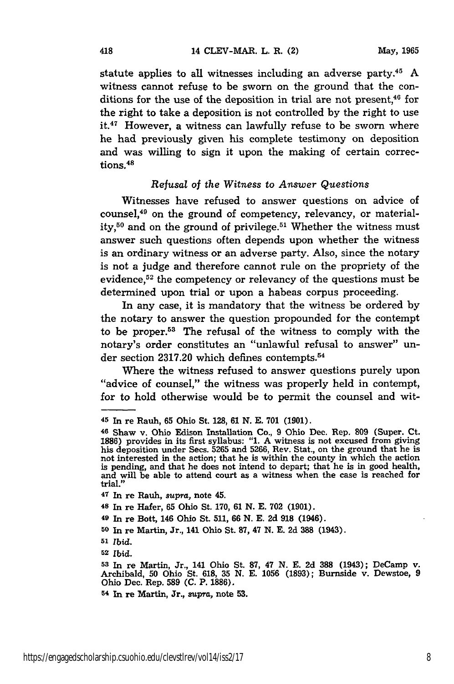statute applies to all witnesses including an adverse party.45 **A** witness cannot refuse to be sworn on the ground that the conditions for the use of the deposition in trial are not present, $46$  for the right to take a deposition is not controlled **by** the right to use it.<sup>47</sup> However, a witness can lawfully refuse to be sworn where he had previously given his complete testimony on deposition and was willing to sign it upon the making of certain corrections.<sup>48</sup>

#### *Refusal of the Witness* to *Answer Questions*

Witnesses have refused to answer questions on advice of counsel, 49 on the ground of competency, relevancy, or materiality,<sup>50</sup> and on the ground of privilege.<sup>51</sup> Whether the witness must answer such questions often depends upon whether the witness is an ordinary witness or an adverse party. Also, since the notary is not a judge and therefore cannot rule on the propriety of the evidence,<sup>52</sup> the competency or relevancy of the questions must be determined upon trial or upon a habeas corpus proceeding.

In any case, it is mandatory that the witness be ordered by the notary to answer the question propounded for the contempt to be proper.53 The refusal of the witness to comply with the notary's order constitutes an "unlawful refusal to answer" under section 2317.20 which defines contempts. <sup>54</sup>

Where the witness refused to answer questions purely upon "advice of counsel," the witness was properly held in contempt, for to hold otherwise would be to permit the counsel and wit-

*<sup>51</sup>Ibid.*

**<sup>52</sup>***Ibid.*

**<sup>45</sup>**In re Rauh, **65** Ohio St. 128, **61 N. E. 701 (1901).**

**<sup>46</sup>**Shaw v. Ohio Edison Installation Co., 9 Ohio Dec. Rep. **809** (Super. Ct. **1886)** provides in its first syllabus: "1. A witness is not excused from giving his deposition under Secs. **5265** and **5266,** Rev. Stat., on the ground that he is not interested in the action; that he is within the county in which the action is pending, and that he does not intend to depart; that he is in good health, and will be able to attend court as a witness when the case is reached for trial."

**<sup>47</sup>**In re Rauh, supra, note 45.

**<sup>48</sup>**In re Hafer, **65** Ohio St. **170, 61 N. E. 702 (1901).**

**<sup>49</sup>**In re Bott, 146 Ohio St. **511, 66 N. E. 2d 918** (1946).

**<sup>50</sup>**In re Martin, Jr., 141 Ohio St. **87,** 47 **N. E. 2d 388** (1943).

**<sup>53</sup>**In re Martin, Jr., 141 Ohio St. **87,** 47 **N. E. 2d 388** (1943); DeCamp v. Archibald, **50** Ohio St. **618, 35 N. E. 1056 (1893);** Burnside v. Dewstoe, **<sup>9</sup>** Ohio Dec. Rep. **589 (C.** P. **1886).**

**<sup>54</sup> In** re Martin, Jr., supra, note **53.**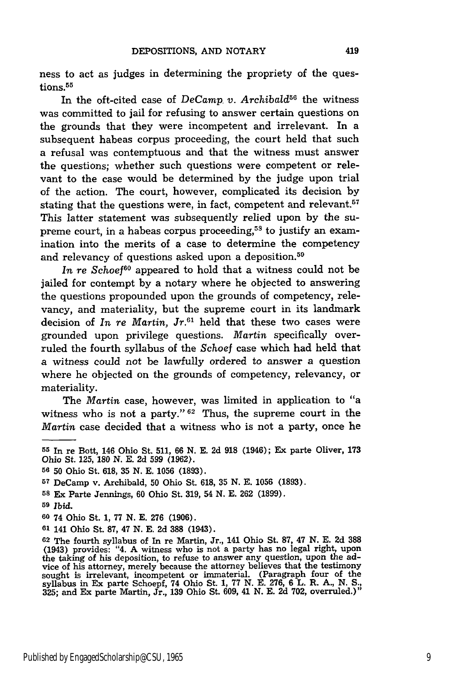ness to act as judges in determining the propriety of the questions.<sup>55</sup>

In the oft-cited case of *DeCamp v. Archibald56* the witness was committed to jail for refusing to answer certain questions on the grounds that they were incompetent and irrelevant. In a subsequent habeas corpus proceeding, the court held that such a refusal was contemptuous and that the witness must answer the questions; whether such questions were competent or relevant to the case would be determined by the judge upon trial of the action. The court, however, complicated its decision by stating that the questions were, in fact, competent and relevant.<sup>57</sup> This latter statement was subsequently relied upon by the supreme court, in a habeas corpus proceeding,<sup>58</sup> to justify an examination into the merits of a case to determine the competency and relevancy of questions asked upon a deposition.<sup>59</sup>

In re Schoef<sup>60</sup> appeared to hold that a witness could not be jailed for contempt by a notary where he objected to answering the questions propounded upon the grounds of competency, relevancy, and materiality, but the supreme court in its landmark decision of *In re Martin, Jr.61* held that these two cases were grounded upon privilege questions. *Martin* specifically overruled the fourth syllabus of the Schoef case which had held that a witness could not be lawfully ordered to answer a question where he objected on the grounds of competency, relevancy, or materiality.

The *Martin* case, however, was limited in application to "a witness who is not a party."<sup>62</sup> Thus, the supreme court in the *Martin* case decided that a witness who is not a party, once he

**<sup>55</sup>**In re Bott, 146 Ohio St. **511, 66** N. **E.** 2d **918** (1946); Ex parte Oliver, **173** Ohio St. 125, **180 N. E.** 2d 599 **(1962).**

**<sup>56 50</sup>** Ohio St. 618, 35 N. E. 1056 (1893).

**<sup>57</sup>**DeCamp v. Archibald, 50 Ohio St. 618, 35 **N. E.** 1056 (1893).

**<sup>58</sup>**Ex Parte Jennings, **60** Ohio St. 319, 54 N. E. 262 (1899).

**<sup>59</sup>***Ibid.*

**<sup>60</sup>** 74 Ohio St. 1, 77 N. E. **276** (1906).

**<sup>61</sup>**141 Ohio St. **87,** 47 N. E. **2d 388** (1943).

**<sup>62</sup>** The fourth syllabus of In re Martin, Jr., 141 Ohio St. **87,** 47 **N.** E. **2d 388** (1943) provides: "4. A witness who is not a party has no legal right, upon the taking of his deposition, to refuse to answer any question, upon the advice of his attorney, merely because the attorney believes that the testimony sought is irrelevant, incompetent or immaterial. (Paragraph four of t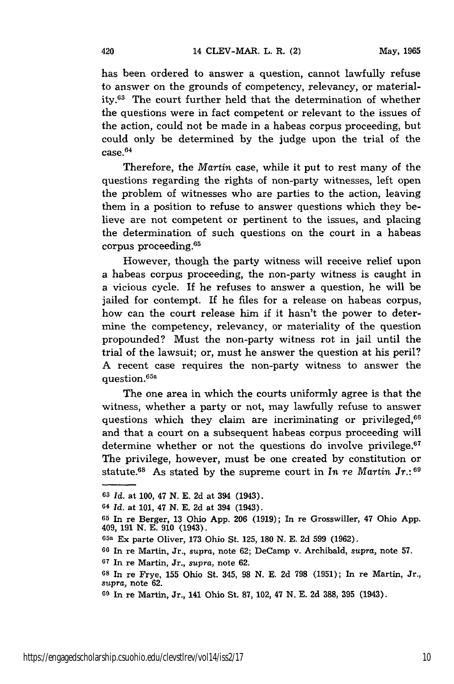has been ordered to answer a question, cannot lawfully refuse to answer on the grounds of competency, relevancy, or materiality.<sup>63</sup> The court further held that the determination of whether the questions were in fact competent or relevant to the issues of the action, could not be made in a habeas corpus proceeding, but could only be determined by the judge upon the trial of the case.<sup>64</sup>

Therefore, the *Martin* case, while it put to rest many of the questions regarding the rights of non-party witnesses, left open the problem of witnesses who are parties to the action, leaving them in a position to refuse to answer questions which they believe are not competent or pertinent to the issues, and placing the determination of such questions on the court in a habeas corpus proceeding.<sup>65</sup>

However, though the party witness will receive relief upon a habeas corpus proceeding, the non-party witness is caught in a vicious cycle. If he refuses to answer a question, he will be jailed for contempt. If he files for a release on habeas corpus, how can the court release him if it hasn't the power to determine the competency, relevancy, or materiality of the question propounded? Must the non-party witness rot in jail until the trial of the lawsuit; or, must he answer the question at his peril? A recent case requires the non-party witness to answer the question. 65a

The one area in which the courts uniformly agree is that the witness, whether a party or not, may lawfully refuse to answer questions which they claim are incriminating or privileged,<sup>66</sup> and that a court on a subsequent habeas corpus proceeding will determine whether or not the questions do involve privilege. $67$ The privilege, however, must be one created by constitution or statute.68 As stated **by** the supreme court in *In* re *Martin* Jr.: <sup>69</sup>

**<sup>63</sup>***Id.* at 100, 47 N. E. 2d at 394 (1943).

**<sup>64</sup>***Id.* at 101, 47 N. E. 2d at 394 (1943).

**<sup>65</sup>**In re Berger, 13 Ohio App. **206** (1919); In re Grosswiller, 47 Ohio App. 409, **191 N. E. 910** (1943).

**<sup>65</sup>a** Ex parte Oliver, **173** Ohio St. **125, 180 N. E. 2d 599 (1962).**

**<sup>66</sup>**In re Martin, Jr., *supra,* note **62;** DeCamp v. Archibald, *supra,* note **57.**

**<sup>67</sup>**In re Martin, Jr., *supra,* note **62.**

**<sup>68</sup>**In re Frye, **155** Ohio St. 345, **98 N. E. 2d 798 (1951);** In re Martin, Jr., *supra,* note **62.**

**<sup>69</sup>**In re Martin, Jr., 141 Ohio St. **87,** 102, 47 **N. E. 2d 388, 395** (1943).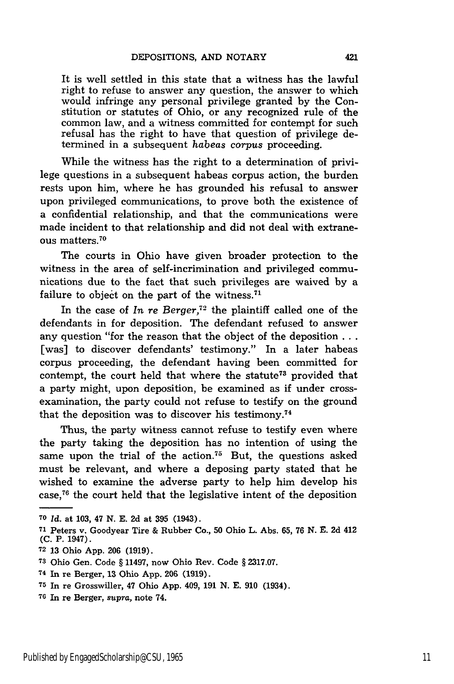It is well settled in this state that a witness has the lawful right to refuse to answer any question, the answer to which would infringe any personal privilege granted by the Constitution or statutes of Ohio, or any recognized rule of the common law, and a witness committed for contempt for such refusal has the right to have that question of privilege determined in a subsequent habeas corpus proceeding.

While the witness has the right to a determination of privilege questions in a subsequent habeas corpus action, the burden rests upon him, where he has grounded his refusal to answer upon privileged communications, to prove both the existence of a confidential relationship, and that the communications were made incident to that relationship and did not deal with extraneous matters.<sup>70</sup>

The courts in Ohio have given broader protection to the witness in the area of self-incrimination and privileged communications due to the fact that such privileges are waived by a failure to object on the part of the witness.<sup>71</sup>

In the case of *In re Berger,72* the plaintiff called one of the defendants in for deposition. The defendant refused to answer any question "for the reason that the object of the deposition **...** [was] to discover defendants' testimony." In a later habeas corpus proceeding, the defendant having been committed for contempt, the court held that where the statute73 provided that a party might, upon deposition, be examined as if under crossexamination, the party could not refuse to testify on the ground that the deposition was to discover his testimony.<sup>74</sup>

Thus, the party witness cannot refuse to testify even where the party taking the deposition has no intention of using the same upon the trial of the action.<sup>75</sup> But, the questions asked must be relevant, and where a deposing party stated that he wished to examine the adverse party to help him develop his case, 76 the court held that the legislative intent of the deposition

**<sup>70</sup>***Id.* at 103, 47 N. E. 2d at **395** (1943).

**72** 13 Ohio App. 206 (1919).

**<sup>76</sup>**In re Berger, *supra,* note 74.

**<sup>71</sup>**Peters v. Goodyear Tire & Rubber Co., **50** Ohio L. Abs. **65, 76 N. E. 2d** 412 **(C.** P. 1947).

**<sup>73</sup>**Ohio Gen. Code § 11497, now Ohio Rev. Code § 2317.07.

**<sup>74</sup>**In re Berger, **13** Ohio App. **206 (1919).**

**<sup>75</sup>**In re Grosswiller, 47 Ohio App. 409, 191 N. E. **910** (1934).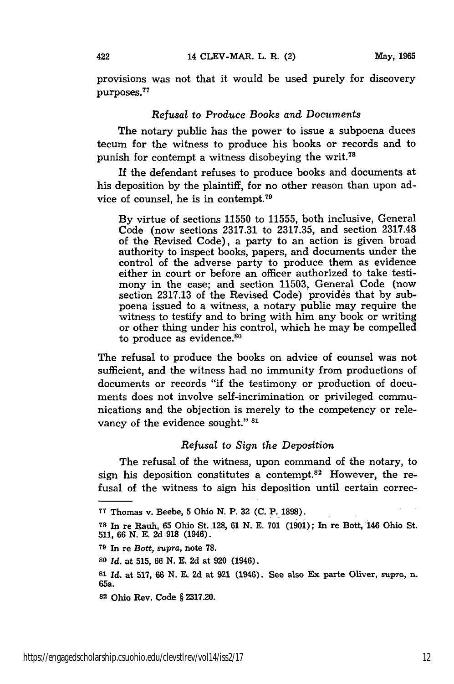provisions was not that it would be used purely for discovery -<br>purposes.<sup>77</sup>

## *Refusal* to *Produce Books and Documents*

The notary public has the power to issue a subpoena duces tecum for the witness to produce his books or records and to punish for contempt a witness disobeying the writ.78

If the defendant refuses to produce books and documents at his deposition by the plaintiff, for no other reason than upon advice of counsel, he is in contempt.<sup>79</sup>

By virtue of sections 11550 to 11555, both inclusive, General Code (now sections 2317.31 to 2317.35, and section 2317.48 of the Revised Code), a party to an action is given broad authority to inspect books, papers, and documents under the control of the adverse party to produce them as evidence either in court or before an officer authorized to take testimony in the case; and section 11503, General Code (now section 2317.13 of the Revised Code) provides that by subpoena issued to a witness, a notary public may require the witness to testify and to bring with him any book or writing or other thing under his control, which he may be compelled to produce as evidence.<sup>80</sup>

The refusal to produce the books on advice of counsel was not sufficient, and the witness had no immunity from productions of documents or records "if the testimony or production of documents does not involve self-incrimination or privileged communications and the objection is merely to the competency or relevancy of the evidence sought." **81**

# *Refusal to Sign the Deposition*

The refusal of the witness, upon command of the notary, to sign his deposition constitutes a contempt.<sup>82</sup> However, the refusal of the witness to sign his deposition until certain correc-

**<sup>79</sup>**In re *Bott, supra,* note **78.**

**<sup>80</sup>***Id.* at **515, 66 N. E. 2d** at **920** (1946).

**81 Id.** at **517, 66 N. E. 2d** at **921** (1946). See also **Ex** parte Oliver, spra, n. 65a.

**82** Ohio Rev. Code § **2317.20.**

**<sup>77</sup>**Thomas v. Beebe, **5** Ohio **N.** P. **32 (C.** P. **1898).**

**<sup>78</sup>**In re Rauh, **65** Ohio St. 128, **61 N. E. 701 (1901);** In re Bott, 146 Ohio St. **511, 66 N. E. 2d 918** (1946).